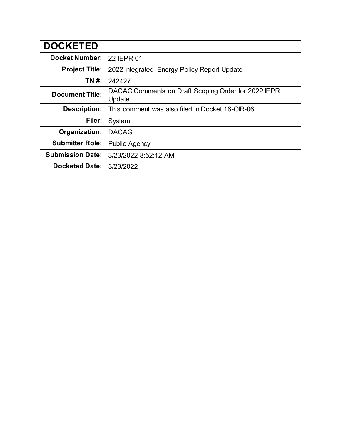| <b>DOCKETED</b>         |                                                               |
|-------------------------|---------------------------------------------------------------|
| <b>Docket Number:</b>   | 22-IEPR-01                                                    |
| <b>Project Title:</b>   | 2022 Integrated Energy Policy Report Update                   |
| TN #:                   | 242427                                                        |
| <b>Document Title:</b>  | DACAG Comments on Draft Scoping Order for 2022 IEPR<br>Update |
| <b>Description:</b>     | This comment was also filed in Docket 16-OIR-06               |
| Filer:                  | System                                                        |
| Organization:           | <b>DACAG</b>                                                  |
| <b>Submitter Role:</b>  | <b>Public Agency</b>                                          |
| <b>Submission Date:</b> | 3/23/2022 8:52:12 AM                                          |
| <b>Docketed Date:</b>   | 3/23/2022                                                     |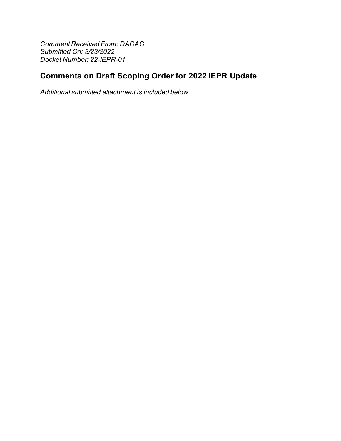**Comment Received From: DACAG** Submitted On: 3/23/2022 Docket Number: 22-IEPR-01

# **Comments on Draft Scoping Order for 2022 IEPR Update**

Additional submitted attachment is included below.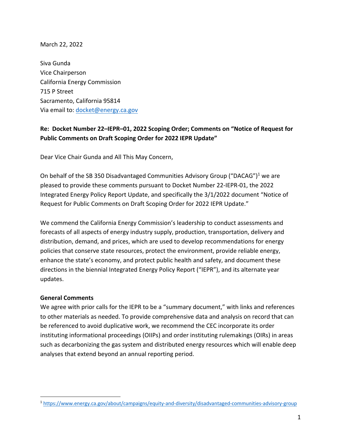March 22, 2022

Siva Gunda Vice Chairperson California Energy Commission 715 P Street Sacramento, California 95814 Via email to: docket@energy.ca.gov

### **Re: Docket Number 22–IEPR–01, 2022 Scoping Order; Comments on "Notice of Request for Public Comments on Draft Scoping Order for 2022 IEPR Update"**

Dear Vice Chair Gunda and All This May Concern,

On behalf of the SB 350 Disadvantaged Communities Advisory Group ("DACAG")<sup>1</sup> we are pleased to provide these comments pursuant to Docket Number 22-IEPR-01, the 2022 Integrated Energy Policy Report Update, and specifically the 3/1/2022 document "Notice of Request for Public Comments on Draft Scoping Order for 2022 IEPR Update."

We commend the California Energy Commission's leadership to conduct assessments and forecasts of all aspects of energy industry supply, production, transportation, delivery and distribution, demand, and prices, which are used to develop recommendations for energy policies that conserve state resources, protect the environment, provide reliable energy, enhance the state's economy, and protect public health and safety, and document these directions in the biennial Integrated Energy Policy Report ("IEPR"), and its alternate year updates.

#### **General Comments**

We agree with prior calls for the IEPR to be a "summary document," with links and references to other materials as needed. To provide comprehensive data and analysis on record that can be referenced to avoid duplicative work, we recommend the CEC incorporate its order instituting informational proceedings (OIIPs) and order instituting rulemakings (OIRs) in areas such as decarbonizing the gas system and distributed energy resources which will enable deep analyses that extend beyond an annual reporting period.

<sup>1</sup> https://www.energy.ca.gov/about/campaigns/equity-and-diversity/disadvantaged-communities-advisory-group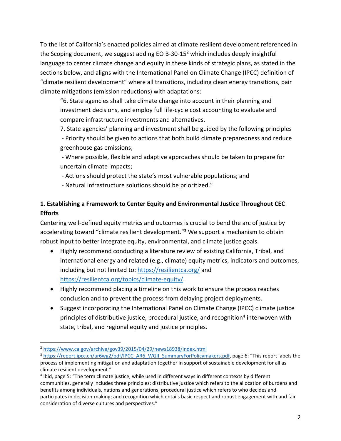To the list of California's enacted policies aimed at climate resilient development referenced in the Scoping document, we suggest adding EO B-30-15<sup>2</sup> which includes deeply insightful language to center climate change and equity in these kinds of strategic plans, as stated in the sections below, and aligns with the International Panel on Climate Change (IPCC) definition of "climate resilient development" where all transitions, including clean energy transitions, pair climate mitigations (emission reductions) with adaptations:

"6. State agencies shall take climate change into account in their planning and investment decisions, and employ full life-cycle cost accounting to evaluate and compare infrastructure investments and alternatives.

7. State agencies' planning and investment shall be guided by the following principles - Priority should be given to actions that both build climate preparedness and reduce greenhouse gas emissions;

- Where possible, flexible and adaptive approaches should be taken to prepare for uncertain climate impacts;

- Actions should protect the state's most vulnerable populations; and

- Natural infrastructure solutions should be prioritized."

# **1. Establishing a Framework to Center Equity and Environmental Justice Throughout CEC Efforts**

Centering well-defined equity metrics and outcomes is crucial to bend the arc of justice by accelerating toward "climate resilient development."<sup>3</sup> We support a mechanism to obtain robust input to better integrate equity, environmental, and climate justice goals.

- Highly recommend conducting a literature review of existing California, Tribal, and international energy and related (e.g., climate) equity metrics, indicators and outcomes, including but not limited to: https://resilientca.org/ and https://resilientca.org/topics/climate-equity/.
- Highly recommend placing a timeline on this work to ensure the process reaches conclusion and to prevent the process from delaying project deployments.
- Suggest incorporating the International Panel on Climate Change (IPCC) climate justice principles of distributive justice, procedural justice, and recognition<sup>4</sup> interwoven with state, tribal, and regional equity and justice principles.

<sup>2</sup> https://www.ca.gov/archive/gov39/2015/04/29/news18938/index.html

<sup>&</sup>lt;sup>3</sup> https://report.ipcc.ch/ar6wg2/pdf/IPCC\_AR6\_WGII\_SummaryForPolicymakers.pdf, page 6: "This report labels the process of implementing mitigation and adaptation together in support of sustainable development for all as climate resilient development."

<sup>4</sup> Ibid, page 5: "The term climate justice, while used in different ways in different contexts by different communities, generally includes three principles: distributive justice which refers to the allocation of burdens and benefits among individuals, nations and generations; procedural justice which refers to who decides and participates in decision-making; and recognition which entails basic respect and robust engagement with and fair consideration of diverse cultures and perspectives."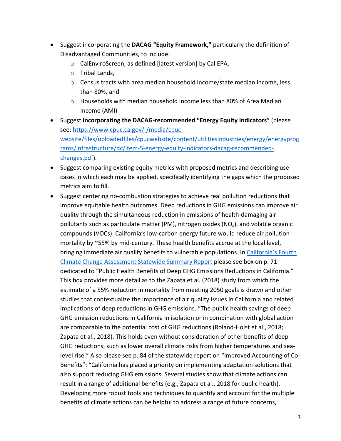- Suggest incorporating the **DACAG "Equity Framework,"** particularly the definition of Disadvantaged Communities, to include:
	- o CalEnviroScreen, as defined [latest version] by Cal EPA,
	- o Tribal Lands,
	- o Census tracts with area median household income/state median income, less than 80%, and
	- $\circ$  Households with median household income less than 80% of Area Median Income (AMI)
- Suggest **incorporating the DACAG-recommended "Energy Equity Indicators"** (please see: https://www.cpuc.ca.gov/-/media/cpucwebsite/files/uploadedfiles/cpucwebsite/content/utilitiesindustries/energy/energyprog rams/infrastructure/dc/item-5-energy-equity-indicators-dacag-recommendedchanges.pdf).
- Suggest comparing existing equity metrics with proposed metrics and describing use cases in which each may be applied, specifically identifying the gaps which the proposed metrics aim to fill.
- Suggest centering no-combustion strategies to achieve real pollution reductions that improve equitable health outcomes. Deep reductions in GHG emissions can improve air quality through the simultaneous reduction in emissions of health-damaging air pollutants such as particulate matter (PM), nitrogen oxides ( $NO<sub>x</sub>$ ), and volatile organic compounds (VOCs). California's low-carbon energy future would reduce air pollution mortality by ~55% by mid-century. These health benefits accrue at the local level, bringing immediate air quality benefits to vulnerable populations. In California's Fourth Climate Change Assessment Statewide Summary Report please see box on p. 71 dedicated to "Public Health Benefits of Deep GHG Emissions Reductions in California." This box provides more detail as to the Zapata et al. (2018) study from which the estimate of a 55% reduction in mortality from meeting 2050 goals is drawn and other studies that contextualize the importance of air quality issues in California and related implications of deep reductions in GHG emissions. "The public health savings of deep GHG emission reductions in California in isolation or in combination with global action are comparable to the potential cost of GHG reductions (Roland-Holst et al., 2018; Zapata et al., 2018). This holds even without consideration of other benefits of deep GHG reductions, such as lower overall climate risks from higher temperatures and sealevel rise." Also please see p. 84 of the statewide report on "Improved Accounting of Co-Benefits": "California has placed a priority on implementing adaptation solutions that also support reducing GHG emissions. Several studies show that climate actions can result in a range of additional benefits (e.g., Zapata et al., 2018 for public health). Developing more robust tools and techniques to quantify and account for the multiple benefits of climate actions can be helpful to address a range of future concerns,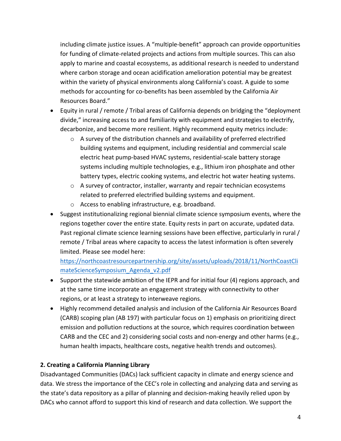including climate justice issues. A "multiple-benefit" approach can provide opportunities for funding of climate-related projects and actions from multiple sources. This can also apply to marine and coastal ecosystems, as additional research is needed to understand where carbon storage and ocean acidification amelioration potential may be greatest within the variety of physical environments along California's coast. A guide to some methods for accounting for co-benefits has been assembled by the California Air Resources Board."

- Equity in rural / remote / Tribal areas of California depends on bridging the "deployment divide," increasing access to and familiarity with equipment and strategies to electrify, decarbonize, and become more resilient. Highly recommend equity metrics include:
	- $\circ$  A survey of the distribution channels and availability of preferred electrified building systems and equipment, including residential and commercial scale electric heat pump-based HVAC systems, residential-scale battery storage systems including multiple technologies, e.g., lithium iron phosphate and other battery types, electric cooking systems, and electric hot water heating systems.
	- $\circ$  A survey of contractor, installer, warranty and repair technician ecosystems related to preferred electrified building systems and equipment.
	- o Access to enabling infrastructure, e.g. broadband.
- Suggest institutionalizing regional biennial climate science symposium events, where the regions together cover the entire state. Equity rests in part on accurate, updated data. Past regional climate science learning sessions have been effective, particularly in rural / remote / Tribal areas where capacity to access the latest information is often severely limited. Please see model here:

https://northcoastresourcepartnership.org/site/assets/uploads/2018/11/NorthCoastCli mateScienceSymposium\_Agenda\_v2.pdf

- Support the statewide ambition of the IEPR and for initial four (4) regions approach, and at the same time incorporate an engagement strategy with connectivity to other regions, or at least a strategy to interweave regions.
- Highly recommend detailed analysis and inclusion of the California Air Resources Board (CARB) scoping plan (AB 197) with particular focus on 1) emphasis on prioritizing direct emission and pollution reductions at the source, which requires coordination between CARB and the CEC and 2) considering social costs and non-energy and other harms (e.g., human health impacts, healthcare costs, negative health trends and outcomes).

### **2. Creating a California Planning Library**

Disadvantaged Communities (DACs) lack sufficient capacity in climate and energy science and data. We stress the importance of the CEC's role in collecting and analyzing data and serving as the state's data repository as a pillar of planning and decision-making heavily relied upon by DACs who cannot afford to support this kind of research and data collection. We support the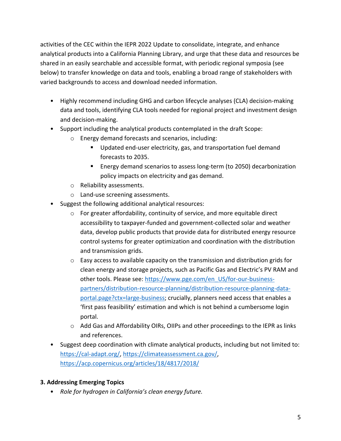activities of the CEC within the IEPR 2022 Update to consolidate, integrate, and enhance analytical products into a California Planning Library, and urge that these data and resources be shared in an easily searchable and accessible format, with periodic regional symposia (see below) to transfer knowledge on data and tools, enabling a broad range of stakeholders with varied backgrounds to access and download needed information.

- Highly recommend including GHG and carbon lifecycle analyses (CLA) decision-making data and tools, identifying CLA tools needed for regional project and investment design and decision-making.
- Support including the analytical products contemplated in the draft Scope:
	- o Energy demand forecasts and scenarios, including:
		- **Updated end-user electricity, gas, and transportation fuel demand** forecasts to 2035.
		- ! Energy demand scenarios to assess long-term (to 2050) decarbonization policy impacts on electricity and gas demand.
	- o Reliability assessments.
	- o Land-use screening assessments.
- Suggest the following additional analytical resources:
	- o For greater affordability, continuity of service, and more equitable direct accessibility to taxpayer-funded and government-collected solar and weather data, develop public products that provide data for distributed energy resource control systems for greater optimization and coordination with the distribution and transmission grids.
	- o Easy access to available capacity on the transmission and distribution grids for clean energy and storage projects, such as Pacific Gas and Electric's PV RAM and other tools. Please see: https://www.pge.com/en\_US/for-our-businesspartners/distribution-resource-planning/distribution-resource-planning-dataportal.page?ctx=large-business; crucially, planners need access that enables a 'first pass feasibility' estimation and which is not behind a cumbersome login portal.
	- o Add Gas and Affordability OIRs, OIIPs and other proceedings to the IEPR as links and references.
- Suggest deep coordination with climate analytical products, including but not limited to: https://cal-adapt.org/, https://climateassessment.ca.gov/, https://acp.copernicus.org/articles/18/4817/2018/

#### **3. Addressing Emerging Topics**

• *Role for hydrogen in California's clean energy future.*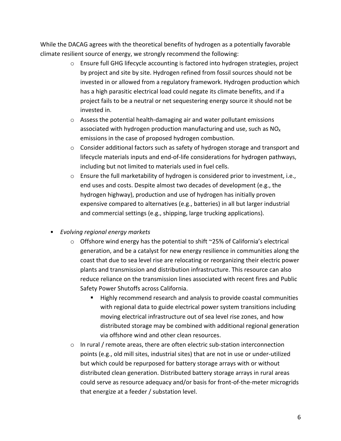While the DACAG agrees with the theoretical benefits of hydrogen as a potentially favorable climate resilient source of energy, we strongly recommend the following:

- $\circ$  Ensure full GHG lifecycle accounting is factored into hydrogen strategies, project by project and site by site. Hydrogen refined from fossil sources should not be invested in or allowed from a regulatory framework. Hydrogen production which has a high parasitic electrical load could negate its climate benefits, and if a project fails to be a neutral or net sequestering energy source it should not be invested in.
- o Assess the potential health-damaging air and water pollutant emissions associated with hydrogen production manufacturing and use, such as  $NO<sub>x</sub>$ emissions in the case of proposed hydrogen combustion.
- $\circ$  Consider additional factors such as safety of hydrogen storage and transport and lifecycle materials inputs and end-of-life considerations for hydrogen pathways, including but not limited to materials used in fuel cells.
- o Ensure the full marketability of hydrogen is considered prior to investment, i.e., end uses and costs. Despite almost two decades of development (e.g., the hydrogen highway), production and use of hydrogen has initially proven expensive compared to alternatives (e.g., batteries) in all but larger industrial and commercial settings (e.g., shipping, large trucking applications).
- *Evolving regional energy markets*
	- $\circ$  Offshore wind energy has the potential to shift  $\sim$ 25% of California's electrical generation, and be a catalyst for new energy resilience in communities along the coast that due to sea level rise are relocating or reorganizing their electric power plants and transmission and distribution infrastructure. This resource can also reduce reliance on the transmission lines associated with recent fires and Public Safety Power Shutoffs across California.
		- ! Highly recommend research and analysis to provide coastal communities with regional data to guide electrical power system transitions including moving electrical infrastructure out of sea level rise zones, and how distributed storage may be combined with additional regional generation via offshore wind and other clean resources.
	- o In rural / remote areas, there are often electric sub-station interconnection points (e.g., old mill sites, industrial sites) that are not in use or under-utilized but which could be repurposed for battery storage arrays with or without distributed clean generation. Distributed battery storage arrays in rural areas could serve as resource adequacy and/or basis for front-of-the-meter microgrids that energize at a feeder / substation level.